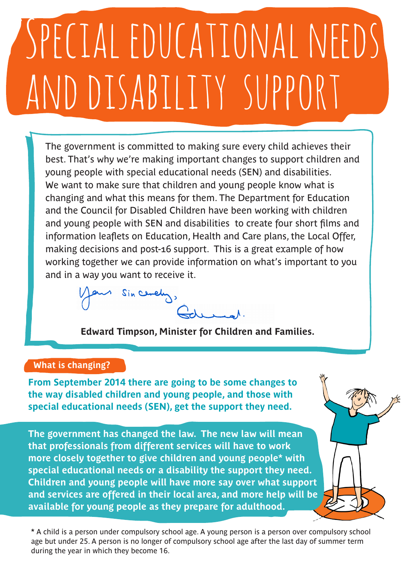## Special educational needs and disability support

The government is committed to making sure every child achieves their best. That's why we're making important changes to support children and young people with special educational needs (SEN) and disabilities. We want to make sure that children and young people know what is changing and what this means for them. The Department for Education and the Council for Disabled Children have been working with children and young people with SEN and disabilities to create four short films and information leaflets on Education, Health and Care plans, the Local Offer, making decisions and post-16 support. This is a great example of how working together we can provide information on what's important to you and in a way you want to receive it.

Sin cently,

**Edward Timpson, Minister for Children and Families.** 

## **What is changing?**

**From September 2014 there are going to be some changes to the way disabled children and young people, and those with special educational needs (SEN), get the support they need.**

**The government has changed the law. The new law will mean that professionals from different services will have to work more closely together to give children and young people\* with special educational needs or a disability the support they need. Children and young people will have more say over what support and services are offered in their local area, and more help will be available for young people as they prepare for adulthood.** 

**\*** A child is a person under compulsory school age. A young person is a person over compulsory school age but under 25. A person is no longer of compulsory school age after the last day of summer term during the year in which they become 16.